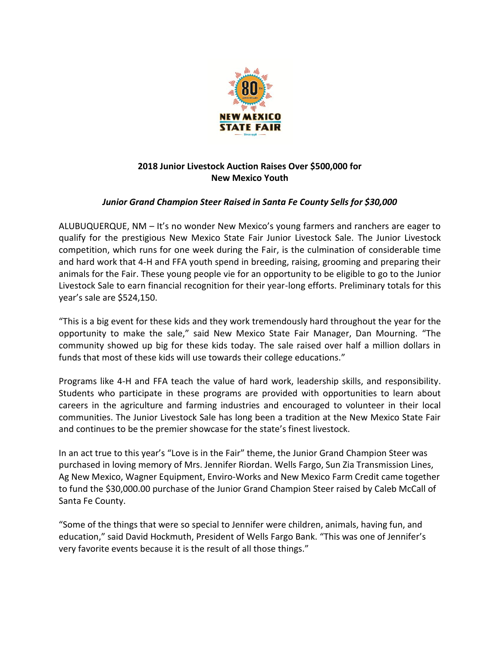

## **2018 Junior Livestock Auction Raises Over \$500,000 for New Mexico Youth**

## *Junior Grand Champion Steer Raised in Santa Fe County Sells for \$30,000*

ALUBUQUERQUE, NM – It's no wonder New Mexico's young farmers and ranchers are eager to qualify for the prestigious New Mexico State Fair Junior Livestock Sale. The Junior Livestock competition, which runs for one week during the Fair, is the culmination of considerable time and hard work that 4-H and FFA youth spend in breeding, raising, grooming and preparing their animals for the Fair. These young people vie for an opportunity to be eligible to go to the Junior Livestock Sale to earn financial recognition for their year-long efforts. Preliminary totals for this year's sale are \$524,150.

"This is a big event for these kids and they work tremendously hard throughout the year for the opportunity to make the sale," said New Mexico State Fair Manager, Dan Mourning. "The community showed up big for these kids today. The sale raised over half a million dollars in funds that most of these kids will use towards their college educations."

Programs like 4-H and FFA teach the value of hard work, leadership skills, and responsibility. Students who participate in these programs are provided with opportunities to learn about careers in the agriculture and farming industries and encouraged to volunteer in their local communities. The Junior Livestock Sale has long been a tradition at the New Mexico State Fair and continues to be the premier showcase for the state's finest livestock.

In an act true to this year's "Love is in the Fair" theme, the Junior Grand Champion Steer was purchased in loving memory of Mrs. Jennifer Riordan. Wells Fargo, Sun Zia Transmission Lines, Ag New Mexico, Wagner Equipment, Enviro-Works and New Mexico Farm Credit came together to fund the \$30,000.00 purchase of the Junior Grand Champion Steer raised by Caleb McCall of Santa Fe County.

"Some of the things that were so special to Jennifer were children, animals, having fun, and education," said David Hockmuth, President of Wells Fargo Bank. "This was one of Jennifer's very favorite events because it is the result of all those things."